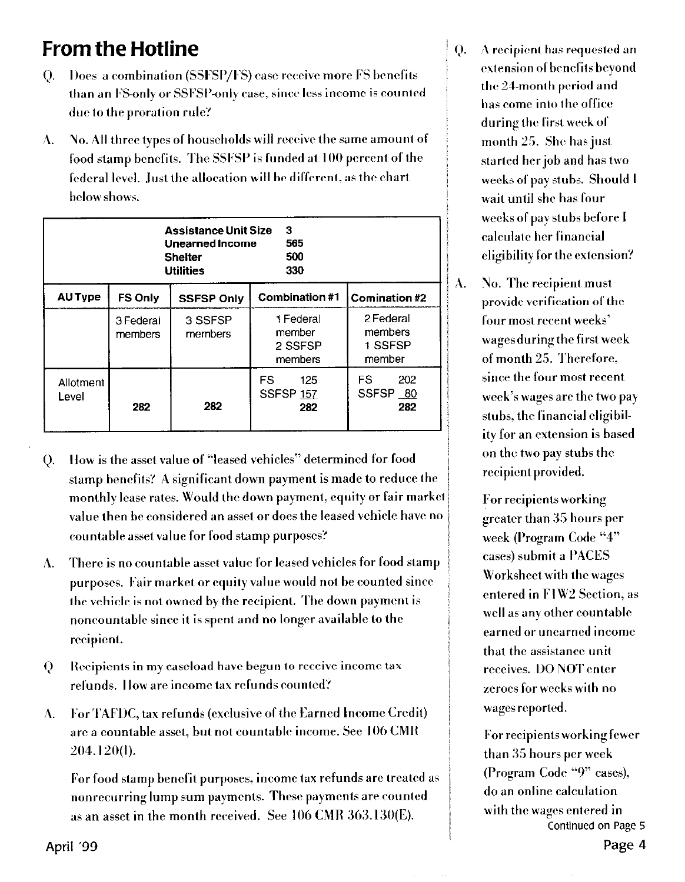## **From the Hotline**

- Does a combination (SSFSP/FS) case receive more FS benefits  $\mathbf{0}$ . than an FS-only or SSFSP-only case, since less income is counted due to the proration rule?
- No. All three types of households will receive the same amount of A. food stamp benefits. The SSFSP is funded at 100 percent of the federal level. Just the allocation will be different, as the chart below shows.

| 3<br><b>Assistance Unit Size</b><br>Unearned Income<br>565<br>500<br><b>Shelter</b><br><b>Utilities</b><br>330 |                      |                    |                                           |                                           |
|----------------------------------------------------------------------------------------------------------------|----------------------|--------------------|-------------------------------------------|-------------------------------------------|
| <b>AUType</b>                                                                                                  | <b>FS Only</b>       | <b>SSFSP Only</b>  | Combination #1                            | <b>Comination#2</b>                       |
|                                                                                                                | 3 Federal<br>members | 3 SSFSP<br>members | 1 Federal<br>member<br>2 SSFSP<br>members | 2 Federal<br>members<br>1 SSFSP<br>member |
| Allotment<br>Level                                                                                             | 282                  | 282                | FS.<br>125<br>SSFSP <sub>157</sub><br>282 | FS.<br>202<br>SSFSP 80<br>282             |

- How is the asset value of "leased vehicles" determined for food 0. stamp benefits? A significant down payment is made to reduce the monthly lease rates. Would the down payment, equity or fair market value then be considered an asset or does the leased vehicle have no countable asset value for food stamp purposes?
- There is no countable asset value for leased vehicles for food stamp  $\Lambda$ . purposes. Fair market or equity value would not be counted since the vehicle is not owned by the recipient. The down payment is noncountable since it is spent and no longer available to the recipient.
- Recipients in my caseload have begun to receive income tax Q refunds. How are income tax refunds counted?
- For TAFDC, tax refunds (exclusive of the Earned Income Credit) Λ. are a countable asset, but not countable income. See 106 CMR  $204.120(l)$ .

For food stamp benefit purposes, income tax refunds are treated as nonrecurring lump sum payments. These payments are counted as an asset in the month received. See 106 CMR 363.130(E).

- **O.** A recipient has requested an extension of benefits beyond the 24-month period and has come into the office during the first week of month 25. She has just started her job and has two weeks of pay stubs. Should I wait until she has four weeks of pay stubs before I calculate her financial eligibility for the extension?
- A. No. The recipient must provide verification of the four most recent weeks' wages during the first week of month 25. Therefore, since the four most recent week's wages are the two pay stubs, the financial eligibility for an extension is based on the two pay stubs the recipient provided.

For recipients working greater than 35 hours per week (Program Code "4" cases) submit a PACES Worksheet with the wages entered in F1W2 Section, as well as any other countable earned or unearned income that the assistance unit receives. DO NOT enter zeroes for weeks with no wages reported.

For recipients working fewer than 35 hours per week (Program Code "9" cases), do an online calculation with the wages entered in Continued on Page 5